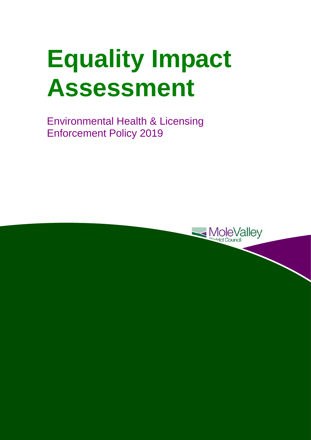# **Equality Impact Assessment**

 Environmental Health & Licensing Enforcement Policy 2019

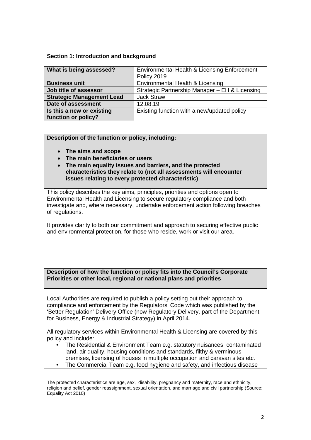#### **Section 1: Introduction and background**

| What is being assessed?          | Environmental Health & Licensing Enforcement<br>Policy 2019 |  |  |  |
|----------------------------------|-------------------------------------------------------------|--|--|--|
| <b>Business unit</b>             | Environmental Health & Licensing                            |  |  |  |
| Job title of assessor            | Strategic Partnership Manager - EH & Licensing              |  |  |  |
| <b>Strategic Management Lead</b> | <b>Jack Straw</b>                                           |  |  |  |
| Date of assessment               | 12.08.19                                                    |  |  |  |
| Is this a new or existing        | Existing function with a new/updated policy                 |  |  |  |
| function or policy?              |                                                             |  |  |  |

**Description of the function or policy, including:** 

- **The aims and scope**
- **The main beneficiaries or users**
- **The main equality issues and barriers, and the protected characteristics they relate to (not all assessments will encounter issues relating to every protected characteristic)**

of regulations. This policy describes the key aims, principles, priorities and options open to Environmental Health and Licensing to secure regulatory compliance and both investigate and, where necessary, undertake enforcement action following breaches

It provides clarity to both our commitment and approach to securing effective public and environmental protection, for those who reside, work or visit our area.

## **Priorities or other local, regional or national plans and priorities Description of how the function or policy fits into the Council's Corporate**

Local Authorities are required to publish a policy setting out their approach to compliance and enforcement by the Regulators' Code which was published by the 'Better Regulation' Delivery Office (now Regulatory Delivery, part of the Department for Business, Energy & Industrial Strategy) in April 2014.

All regulatory services within Environmental Health & Licensing are covered by this policy and include:

- The Residential & Environment Team e.g. statutory nuisances, contaminated land, air quality, housing conditions and standards, filthy & verminous premises, licensing of houses in multiple occupation and caravan sites etc.
- The Commercial Team e.g. food hygiene and safety, and infectious disease

 $\overline{a}$  religion and belief, gender reassignment, sexual orientation, and marriage and civil partnership (Source: The protected characteristics are age, sex, disability, pregnancy and maternity, race and ethnicity, Equality Act 2010)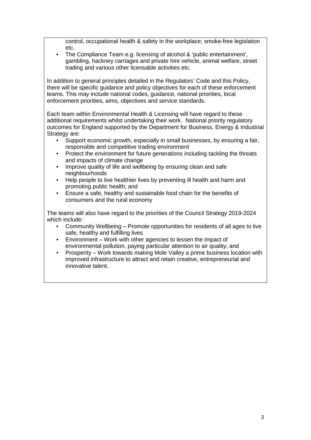control, occupational health & safety in the workplace; smoke-free legislation etc.

 • The Compliance Team e.g. licensing of alcohol & 'public entertainment', gambling, hackney carriages and private hire vehicle, animal welfare, street trading and various other licensable activities etc.

 In addition to general principles detailed in the Regulators' Code and this Policy, there will be specific guidance and policy objectives for each of these enforcement teams. This may include national codes, guidance, national priorities, local enforcement priorities, aims, objectives and service standards.

 outcomes for England supported by the Department for Business, Energy & Industrial Each team within Environmental Health & Licensing will have regard to these additional requirements whilst undertaking their work. National priority regulatory Strategy are:

- Support economic growth, especially in small businesses, by ensuring a fair, responsible and competitive trading environment
- • Protect the environment for future generations including tackling the threats and impacts of climate change
- Improve quality of life and wellbeing by ensuring clean and safe neighbourhoods
- Help people to live healthier lives by preventing ill health and harm and promoting public health; and
- • Ensure a safe, healthy and sustainable food chain for the benefits of consumers and the rural economy

The teams will also have regard to the priorities of the Council Strategy 2019-2024 which include:

- Community Wellbeing Promote opportunities for residents of all ages to live safe, healthy and fulfilling lives
- Environment Work with other agencies to lessen the impact of environmental pollution, paying particular attention to air quality; and
- Prosperity Work towards making Mole Valley a prime business location with improved infrastructure to attract and retain creative, entrepreneurial and innovative talent.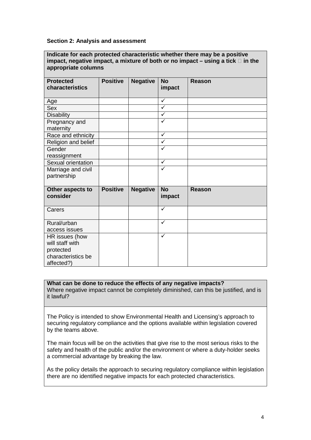#### **Section 2: Analysis and assessment**

 **Indicate for each protected characteristic whether there may be a positive impact, negative impact, a mixture of both or no impact – using a tick in the appropriate columns** 

| <b>Protected</b><br>characteristics | <b>Positive</b> | <b>Negative</b> | <b>No</b><br>impact     | Reason        |
|-------------------------------------|-----------------|-----------------|-------------------------|---------------|
| Age                                 |                 |                 | $\checkmark$            |               |
| Sex                                 |                 |                 | $\overline{\checkmark}$ |               |
| <b>Disability</b>                   |                 |                 | $\checkmark$            |               |
| Pregnancy and<br>maternity          |                 |                 | $\checkmark$            |               |
| Race and ethnicity                  |                 |                 | $\checkmark$            |               |
| Religion and belief                 |                 |                 | $\checkmark$            |               |
| Gender                              |                 |                 | $\checkmark$            |               |
| reassignment                        |                 |                 |                         |               |
| Sexual orientation                  |                 |                 | $\checkmark$            |               |
| Marriage and civil                  |                 |                 | $\checkmark$            |               |
| partnership                         |                 |                 |                         |               |
| Other aspects to<br>consider        | <b>Positive</b> | <b>Negative</b> | <b>No</b><br>impact     | <b>Reason</b> |
| Carers                              |                 |                 | $\checkmark$            |               |
| Rural/urban                         |                 |                 | $\checkmark$            |               |
| access issues                       |                 |                 |                         |               |
| HR issues (how                      |                 |                 | $\checkmark$            |               |
| will staff with                     |                 |                 |                         |               |
| protected                           |                 |                 |                         |               |
| characteristics be                  |                 |                 |                         |               |
| affected?)                          |                 |                 |                         |               |

#### **What can be done to reduce the effects of any negative impacts?**

Where negative impact cannot be completely diminished, can this be justified, and is it lawful?

The Policy is intended to show Environmental Health and Licensing's approach to securing regulatory compliance and the options available within legislation covered by the teams above.

 The main focus will be on the activities that give rise to the most serious risks to the safety and health of the public and/or the environment or where a duty-holder seeks a commercial advantage by breaking the law.

As the policy details the approach to securing regulatory compliance within legislation there are no identified negative impacts for each protected characteristics.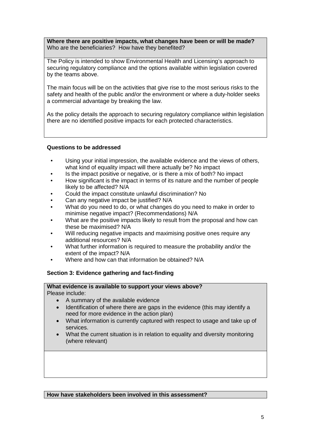**Where there are positive impacts, what changes have been or will be made?**  Who are the beneficiaries? How have they benefited?

The Policy is intended to show Environmental Health and Licensing's approach to securing regulatory compliance and the options available within legislation covered by the teams above.

 The main focus will be on the activities that give rise to the most serious risks to the safety and health of the public and/or the environment or where a duty-holder seeks a commercial advantage by breaking the law.

As the policy details the approach to securing regulatory compliance within legislation there are no identified positive impacts for each protected characteristics.

### **Questions to be addressed**

- what kind of equality impact will there actually be? No impact Using your initial impression, the available evidence and the views of others,
- Is the impact positive or negative, or is there a mix of both? No impact
- likely to be affected? N/A • How significant is the impact in terms of its nature and the number of people
- Could the impact constitute unlawful discrimination? No
- Can any negative impact be justified? N/A
- • What do you need to do, or what changes do you need to make in order to minimise negative impact? (Recommendations) N/A
- these be maximised? N/A What are the positive impacts likely to result from the proposal and how can
- • Will reducing negative impacts and maximising positive ones require any additional resources? N/A
- extent of the impact? N/A • What further information is required to measure the probability and/or the
- Where and how can that information be obtained? N/A

## **Section 3: Evidence gathering and fact-finding**

#### **What evidence is available to support your views above?**  Please include:

- A summary of the available evidence
- Identification of where there are gaps in the evidence (this may identify a need for more evidence in the action plan)
- services. • What information is currently captured with respect to usage and take up of
- What the current situation is in relation to equality and diversity monitoring (where relevant)

 **How have stakeholders been involved in this assessment?**